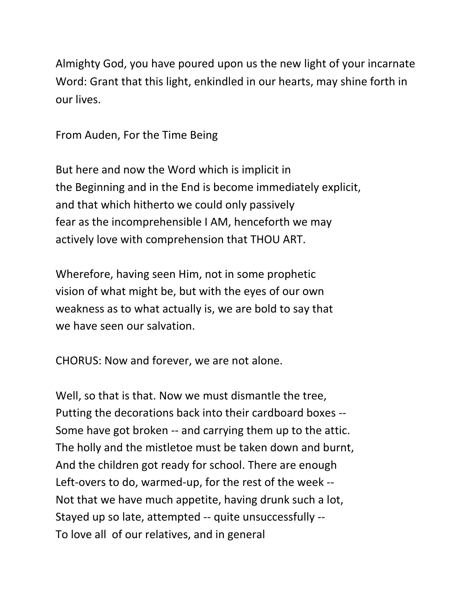Almighty God, you have poured upon us the new light of your incarnate Word: Grant that this light, enkindled in our hearts, may shine forth in our lives.

From Auden, For the Time Being

But here and now the Word which is implicit in the Beginning and in the End is become immediately explicit, and that which hitherto we could only passively fear as the incomprehensible I AM, henceforth we may actively love with comprehension that THOU ART.

Wherefore, having seen Him, not in some prophetic vision of what might be, but with the eyes of our own weakness as to what actually is, we are bold to say that we have seen our salvation.

CHORUS: Now and forever, we are not alone.

Well, so that is that. Now we must dismantle the tree, Putting the decorations back into their cardboard boxes -- Some have got broken -- and carrying them up to the attic. The holly and the mistletoe must be taken down and burnt, And the children got ready for school. There are enough Left-overs to do, warmed-up, for the rest of the week -- Not that we have much appetite, having drunk such a lot, Stayed up so late, attempted -- quite unsuccessfully -- To love all of our relatives, and in general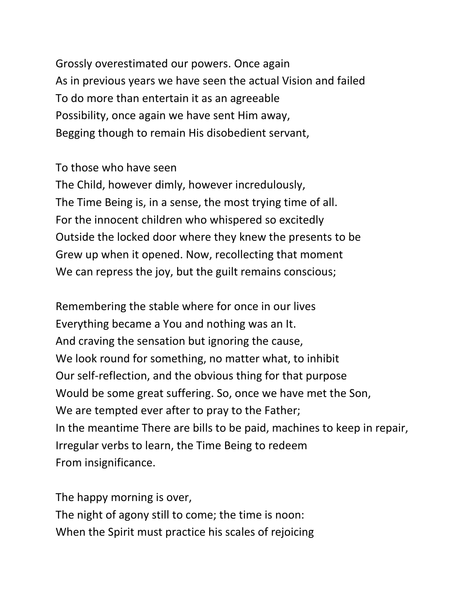Grossly overestimated our powers. Once again As in previous years we have seen the actual Vision and failed To do more than entertain it as an agreeable Possibility, once again we have sent Him away, Begging though to remain His disobedient servant,

## To those who have seen

The Child, however dimly, however incredulously, The Time Being is, in a sense, the most trying time of all. For the innocent children who whispered so excitedly Outside the locked door where they knew the presents to be Grew up when it opened. Now, recollecting that moment We can repress the joy, but the guilt remains conscious;

Remembering the stable where for once in our lives Everything became a You and nothing was an It. And craving the sensation but ignoring the cause, We look round for something, no matter what, to inhibit Our self-reflection, and the obvious thing for that purpose Would be some great suffering. So, once we have met the Son, We are tempted ever after to pray to the Father; In the meantime There are bills to be paid, machines to keep in repair, Irregular verbs to learn, the Time Being to redeem From insignificance.

The happy morning is over,

The night of agony still to come; the time is noon: When the Spirit must practice his scales of rejoicing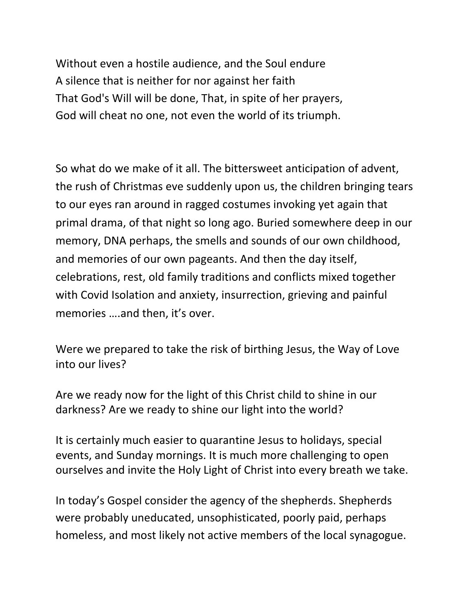Without even a hostile audience, and the Soul endure A silence that is neither for nor against her faith That God's Will will be done, That, in spite of her prayers, God will cheat no one, not even the world of its triumph.

So what do we make of it all. The bittersweet anticipation of advent, the rush of Christmas eve suddenly upon us, the children bringing tears to our eyes ran around in ragged costumes invoking yet again that primal drama, of that night so long ago. Buried somewhere deep in our memory, DNA perhaps, the smells and sounds of our own childhood, and memories of our own pageants. And then the day itself, celebrations, rest, old family traditions and conflicts mixed together with Covid Isolation and anxiety, insurrection, grieving and painful memories ….and then, it's over.

Were we prepared to take the risk of birthing Jesus, the Way of Love into our lives?

Are we ready now for the light of this Christ child to shine in our darkness? Are we ready to shine our light into the world?

It is certainly much easier to quarantine Jesus to holidays, special events, and Sunday mornings. It is much more challenging to open ourselves and invite the Holy Light of Christ into every breath we take.

In today's Gospel consider the agency of the shepherds. Shepherds were probably uneducated, unsophisticated, poorly paid, perhaps homeless, and most likely not active members of the local synagogue.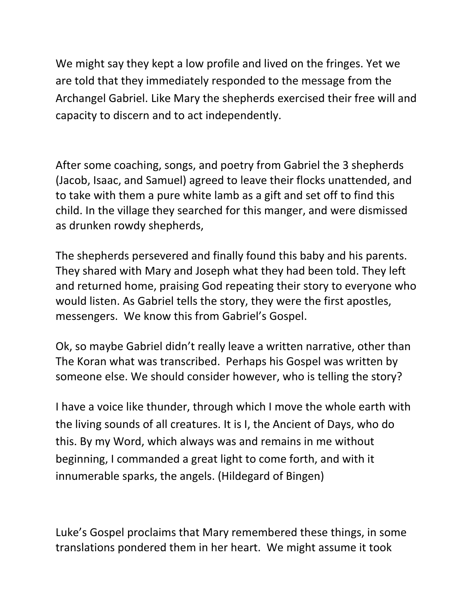We might say they kept a low profile and lived on the fringes. Yet we are told that they immediately responded to the message from the Archangel Gabriel. Like Mary the shepherds exercised their free will and capacity to discern and to act independently.

After some coaching, songs, and poetry from Gabriel the 3 shepherds (Jacob, Isaac, and Samuel) agreed to leave their flocks unattended, and to take with them a pure white lamb as a gift and set off to find this child. In the village they searched for this manger, and were dismissed as drunken rowdy shepherds,

The shepherds persevered and finally found this baby and his parents. They shared with Mary and Joseph what they had been told. They left and returned home, praising God repeating their story to everyone who would listen. As Gabriel tells the story, they were the first apostles, messengers. We know this from Gabriel's Gospel.

Ok, so maybe Gabriel didn't really leave a written narrative, other than The Koran what was transcribed. Perhaps his Gospel was written by someone else. We should consider however, who is telling the story?

I have a voice like thunder, through which I move the whole earth with the living sounds of all creatures. It is I, the Ancient of Days, who do this. By my Word, which always was and remains in me without beginning, I commanded a great light to come forth, and with it innumerable sparks, the angels. (Hildegard of Bingen)

Luke's Gospel proclaims that Mary remembered these things, in some translations pondered them in her heart. We might assume it took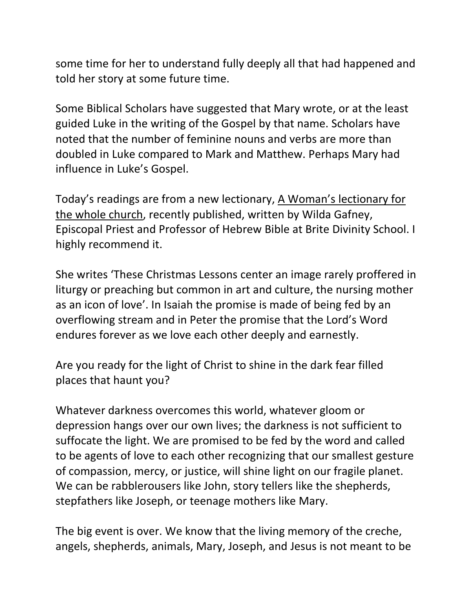some time for her to understand fully deeply all that had happened and told her story at some future time.

Some Biblical Scholars have suggested that Mary wrote, or at the least guided Luke in the writing of the Gospel by that name. Scholars have noted that the number of feminine nouns and verbs are more than doubled in Luke compared to Mark and Matthew. Perhaps Mary had influence in Luke's Gospel.

Today's readings are from a new lectionary, A Woman's lectionary for the whole church, recently published, written by Wilda Gafney, Episcopal Priest and Professor of Hebrew Bible at Brite Divinity School. I highly recommend it.

She writes 'These Christmas Lessons center an image rarely proffered in liturgy or preaching but common in art and culture, the nursing mother as an icon of love'. In Isaiah the promise is made of being fed by an overflowing stream and in Peter the promise that the Lord's Word endures forever as we love each other deeply and earnestly.

Are you ready for the light of Christ to shine in the dark fear filled places that haunt you?

Whatever darkness overcomes this world, whatever gloom or depression hangs over our own lives; the darkness is not sufficient to suffocate the light. We are promised to be fed by the word and called to be agents of love to each other recognizing that our smallest gesture of compassion, mercy, or justice, will shine light on our fragile planet. We can be rabblerousers like John, story tellers like the shepherds, stepfathers like Joseph, or teenage mothers like Mary.

The big event is over. We know that the living memory of the creche, angels, shepherds, animals, Mary, Joseph, and Jesus is not meant to be